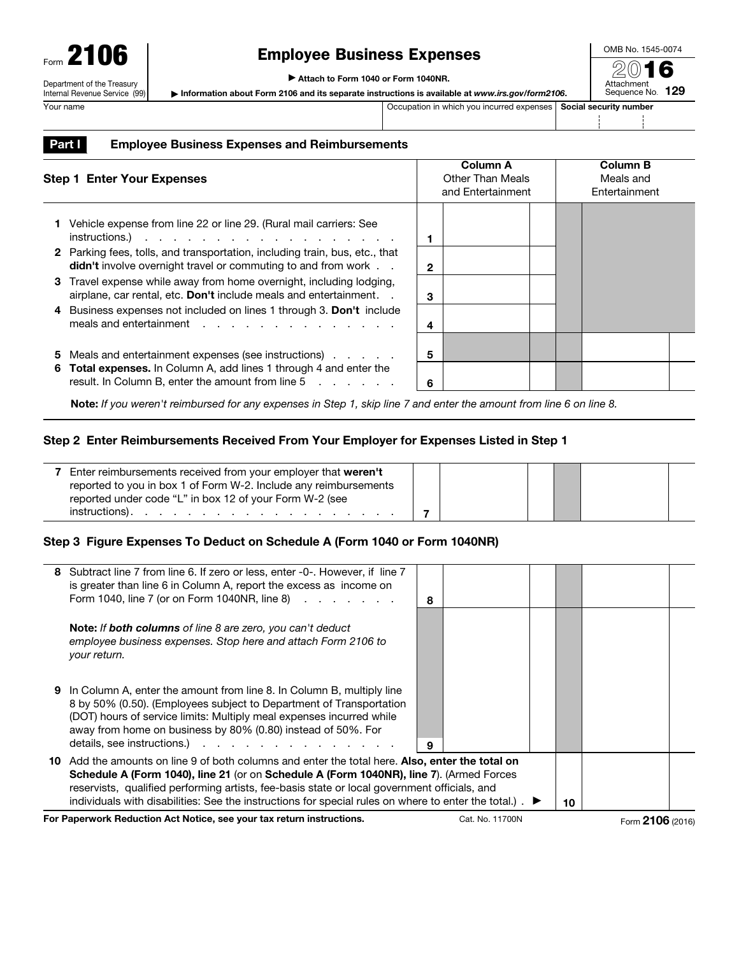## Employee Business Expenses

▶ Attach to Form 1040 or Form 1040NR.

▶ Information about Form 2106 and its separate instructions is available at *www.irs.gov/form2106*.

Your name **Occupation in which you incurred expenses Social security number** Occupation in which you incurred expenses Social security number

OMB No. 1545-0074 2016 Attachment Sequence No. 129

## Part I Employee Business Expenses and Reimbursements

| <b>Step 1 Enter Your Expenses</b> |                                                                                                                                                                                                                                                                                                        |              | <b>Column A</b><br>Other Than Meals<br>and Entertainment | <b>Column B</b><br>Meals and<br>Entertainment |  |  |
|-----------------------------------|--------------------------------------------------------------------------------------------------------------------------------------------------------------------------------------------------------------------------------------------------------------------------------------------------------|--------------|----------------------------------------------------------|-----------------------------------------------|--|--|
|                                   | Vehicle expense from line 22 or line 29. (Rural mail carriers: See<br>$instructions.)$                                                                                                                                                                                                                 |              |                                                          |                                               |  |  |
|                                   | 2 Parking fees, tolls, and transportation, including train, bus, etc., that<br><b>didn't</b> involve overnight travel or commuting to and from work                                                                                                                                                    | $\mathbf{2}$ |                                                          |                                               |  |  |
| 3                                 | Travel expense while away from home overnight, including lodging,<br>airplane, car rental, etc. Don't include meals and entertainment. .                                                                                                                                                               | 3            |                                                          |                                               |  |  |
|                                   | 4 Business expenses not included on lines 1 through 3. Don't include<br>meals and entertainment resources and entertainment resources and resources and resources are all the set of the set of the set of the set of the set of the set of the set of the set of the set of the set of the set of the | 4            |                                                          |                                               |  |  |
| 5                                 | Meals and entertainment expenses (see instructions)                                                                                                                                                                                                                                                    | 5            |                                                          |                                               |  |  |
| 6                                 | Total expenses. In Column A, add lines 1 through 4 and enter the<br>result. In Column B, enter the amount from line 5                                                                                                                                                                                  | 6            |                                                          |                                               |  |  |

Note: *If you weren't reimbursed for any expenses in Step 1, skip line 7 and enter the amount from line 6 on line 8.* 

## Step 2 Enter Reimbursements Received From Your Employer for Expenses Listed in Step 1

| Enter reimbursements received from your employer that weren't    |  |  |  |
|------------------------------------------------------------------|--|--|--|
| reported to you in box 1 of Form W-2. Include any reimbursements |  |  |  |
| reported under code "L" in box 12 of your Form W-2 (see          |  |  |  |
| instructions).                                                   |  |  |  |

## Step 3 Figure Expenses To Deduct on Schedule A (Form 1040 or Form 1040NR)

| 8                                                                                                                                                                                                                                                                                                                                                                                                                        |  |    |  |  |  |
|--------------------------------------------------------------------------------------------------------------------------------------------------------------------------------------------------------------------------------------------------------------------------------------------------------------------------------------------------------------------------------------------------------------------------|--|----|--|--|--|
|                                                                                                                                                                                                                                                                                                                                                                                                                          |  |    |  |  |  |
| 9                                                                                                                                                                                                                                                                                                                                                                                                                        |  |    |  |  |  |
| 10 Add the amounts on line 9 of both columns and enter the total here. Also, enter the total on<br>Schedule A (Form 1040), line 21 (or on Schedule A (Form 1040NR), line 7). (Armed Forces<br>reservists, qualified performing artists, fee-basis state or local government officials, and<br>individuals with disabilities: See the instructions for special rules on where to enter the total.). $\blacktriangleright$ |  |    |  |  |  |
|                                                                                                                                                                                                                                                                                                                                                                                                                          |  | 10 |  |  |  |

For Paperwork Reduction Act Notice, see your tax return instructions. Cat. No. 11700N Form 2106 (2016)